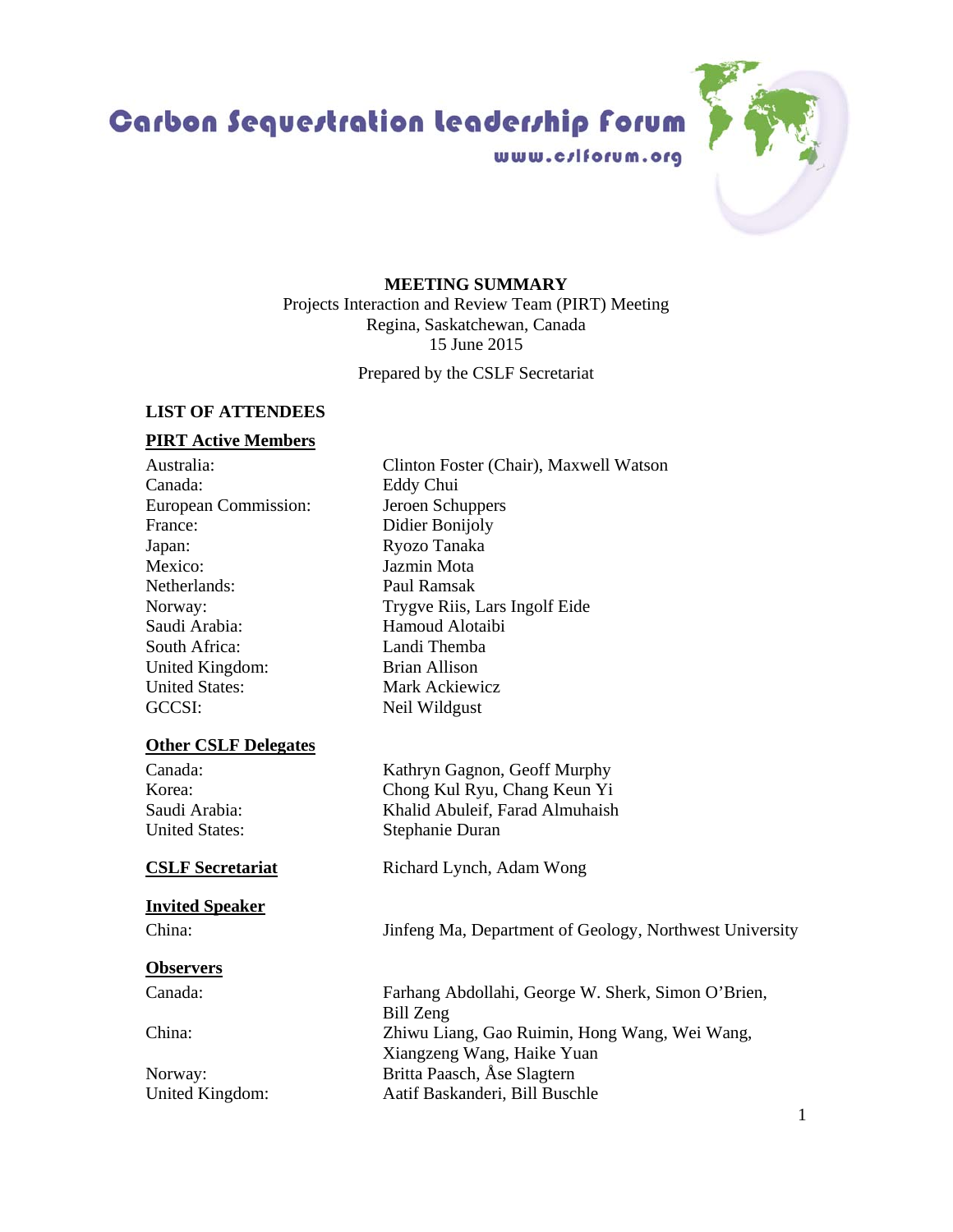Carbon Sequestration leadership forum

# **MEETING SUMMARY**

www.c/lforum.org

Projects Interaction and Review Team (PIRT) Meeting Regina, Saskatchewan, Canada 15 June 2015

Prepared by the CSLF Secretariat

# **LIST OF ATTENDEES**

# **PIRT Active Members**

Canada: Eddy Chui European Commission: Jeroen Schuppers France: Didier Bonijoly Japan: Ryozo Tanaka Mexico: Jazmin Mota Netherlands: Paul Ramsak Saudi Arabia: Hamoud Alotaibi South Africa: Landi Themba United Kingdom: Brian Allison United States: Mark Ackiewicz GCCSI: Neil Wildgust

## **Other CSLF Delegates**

## **Invited Speaker**

## **Observers**

Australia: Clinton Foster (Chair), Maxwell Watson Norway: Trygve Riis, Lars Ingolf Eide

Canada: Kathryn Gagnon, Geoff Murphy Korea: Chong Kul Ryu, Chang Keun Yi Saudi Arabia: Khalid Abuleif, Farad Almuhaish United States: Stephanie Duran

**CSLF Secretariat** Richard Lynch, Adam Wong

China: Jinfeng Ma, Department of Geology, Northwest University

Canada: Farhang Abdollahi, George W. Sherk, Simon O'Brien, Bill Zeng China: Zhiwu Liang, Gao Ruimin, Hong Wang, Wei Wang, Xiangzeng Wang, Haike Yuan Norway: Britta Paasch, Åse Slagtern United Kingdom: Aatif Baskanderi, Bill Buschle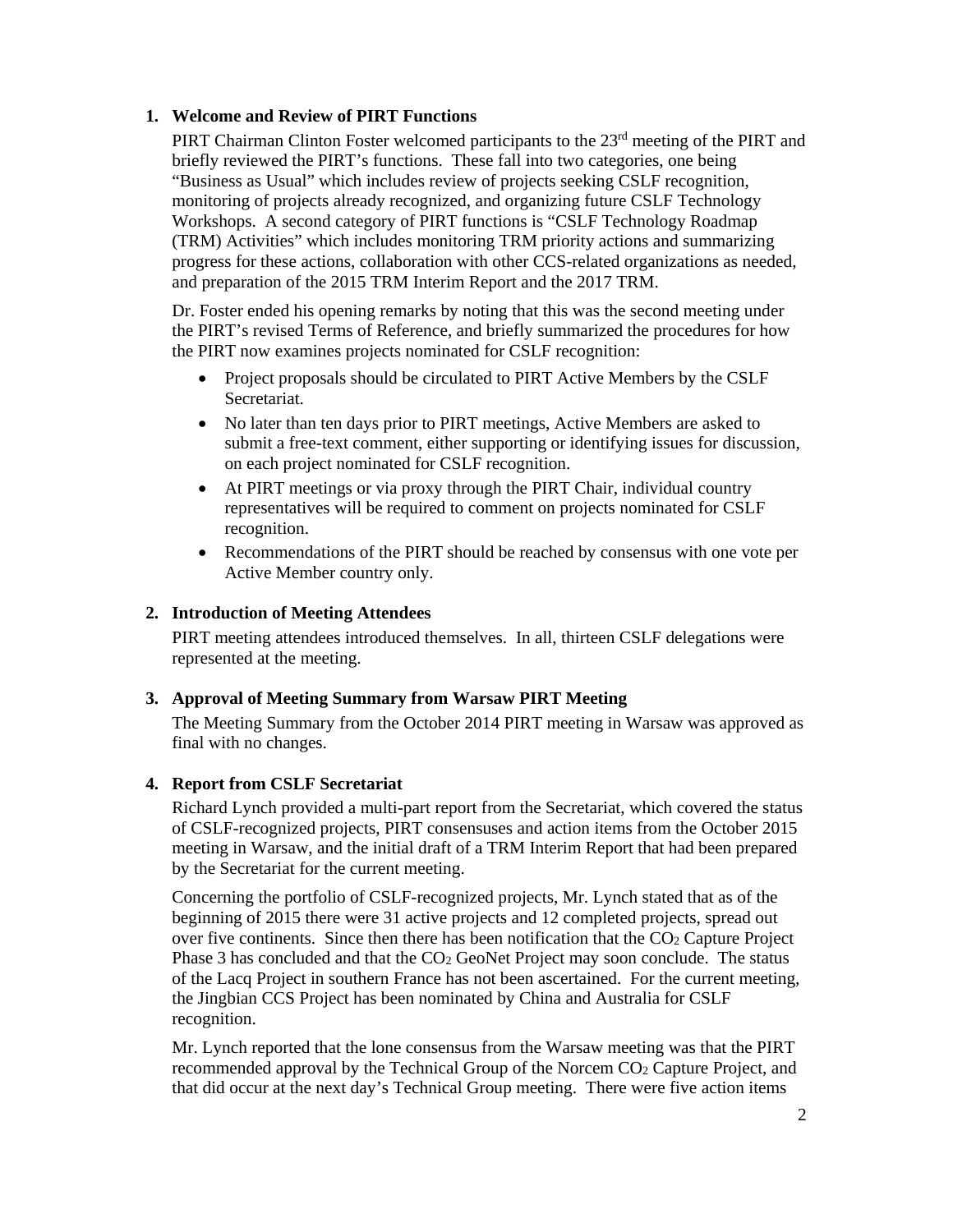# **1. Welcome and Review of PIRT Functions**

PIRT Chairman Clinton Foster welcomed participants to the 23<sup>rd</sup> meeting of the PIRT and briefly reviewed the PIRT's functions. These fall into two categories, one being "Business as Usual" which includes review of projects seeking CSLF recognition, monitoring of projects already recognized, and organizing future CSLF Technology Workshops. A second category of PIRT functions is "CSLF Technology Roadmap (TRM) Activities" which includes monitoring TRM priority actions and summarizing progress for these actions, collaboration with other CCS-related organizations as needed, and preparation of the 2015 TRM Interim Report and the 2017 TRM.

Dr. Foster ended his opening remarks by noting that this was the second meeting under the PIRT's revised Terms of Reference, and briefly summarized the procedures for how the PIRT now examines projects nominated for CSLF recognition:

- Project proposals should be circulated to PIRT Active Members by the CSLF Secretariat.
- No later than ten days prior to PIRT meetings, Active Members are asked to submit a free-text comment, either supporting or identifying issues for discussion, on each project nominated for CSLF recognition.
- At PIRT meetings or via proxy through the PIRT Chair, individual country representatives will be required to comment on projects nominated for CSLF recognition.
- Recommendations of the PIRT should be reached by consensus with one vote per Active Member country only.

## **2. Introduction of Meeting Attendees**

PIRT meeting attendees introduced themselves. In all, thirteen CSLF delegations were represented at the meeting.

## **3. Approval of Meeting Summary from Warsaw PIRT Meeting**

The Meeting Summary from the October 2014 PIRT meeting in Warsaw was approved as final with no changes.

## **4. Report from CSLF Secretariat**

Richard Lynch provided a multi-part report from the Secretariat, which covered the status of CSLF-recognized projects, PIRT consensuses and action items from the October 2015 meeting in Warsaw, and the initial draft of a TRM Interim Report that had been prepared by the Secretariat for the current meeting.

Concerning the portfolio of CSLF-recognized projects, Mr. Lynch stated that as of the beginning of 2015 there were 31 active projects and 12 completed projects, spread out over five continents. Since then there has been notification that the  $CO<sub>2</sub>$  Capture Project Phase 3 has concluded and that the CO<sub>2</sub> GeoNet Project may soon conclude. The status of the Lacq Project in southern France has not been ascertained. For the current meeting, the Jingbian CCS Project has been nominated by China and Australia for CSLF recognition.

Mr. Lynch reported that the lone consensus from the Warsaw meeting was that the PIRT recommended approval by the Technical Group of the Norcem CO2 Capture Project, and that did occur at the next day's Technical Group meeting. There were five action items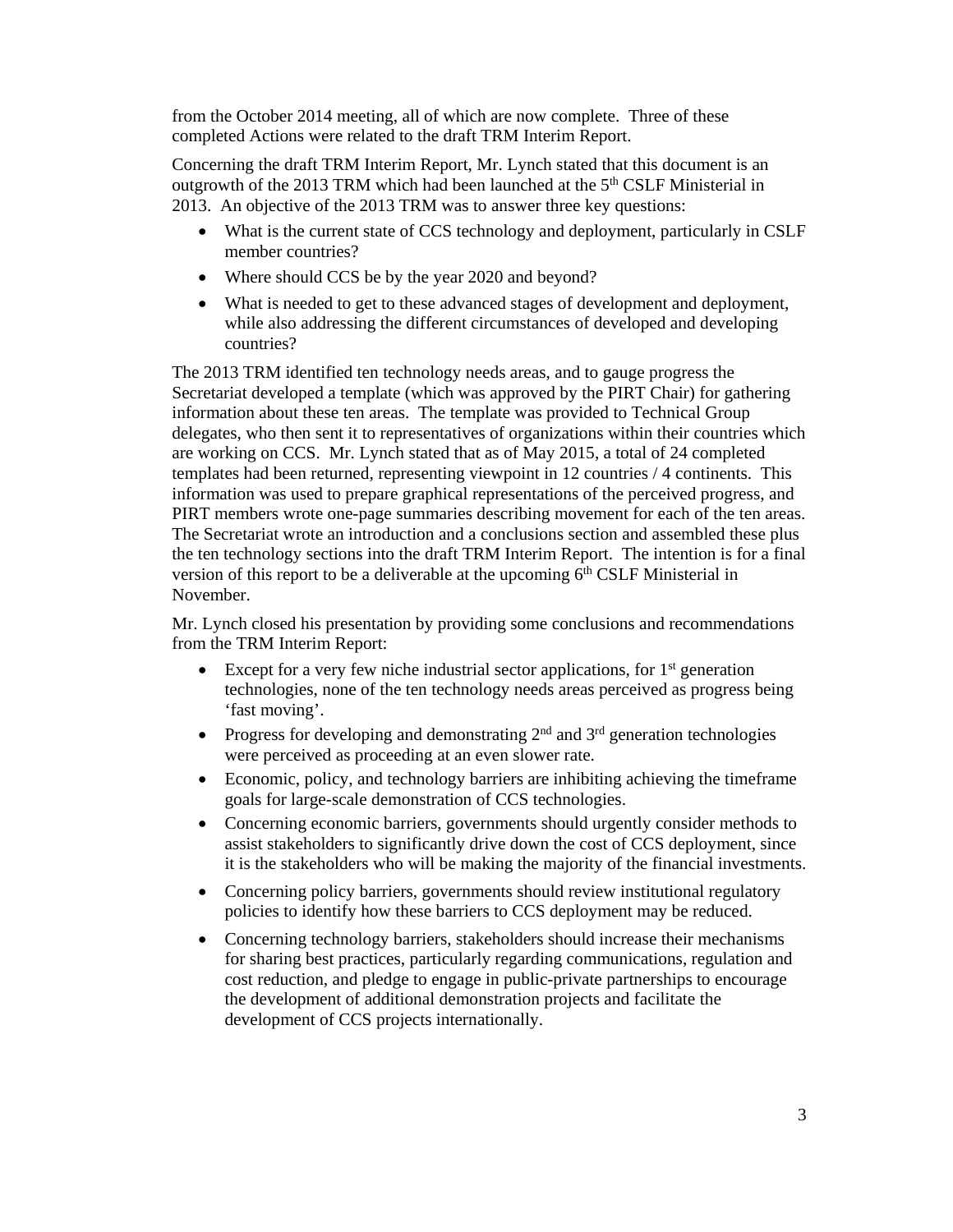from the October 2014 meeting, all of which are now complete. Three of these completed Actions were related to the draft TRM Interim Report.

Concerning the draft TRM Interim Report, Mr. Lynch stated that this document is an outgrowth of the 2013 TRM which had been launched at the 5<sup>th</sup> CSLF Ministerial in 2013. An objective of the 2013 TRM was to answer three key questions:

- What is the current state of CCS technology and deployment, particularly in CSLF member countries?
- Where should CCS be by the year 2020 and beyond?
- What is needed to get to these advanced stages of development and deployment, while also addressing the different circumstances of developed and developing countries?

The 2013 TRM identified ten technology needs areas, and to gauge progress the Secretariat developed a template (which was approved by the PIRT Chair) for gathering information about these ten areas. The template was provided to Technical Group delegates, who then sent it to representatives of organizations within their countries which are working on CCS. Mr. Lynch stated that as of May 2015, a total of 24 completed templates had been returned, representing viewpoint in 12 countries / 4 continents. This information was used to prepare graphical representations of the perceived progress, and PIRT members wrote one-page summaries describing movement for each of the ten areas. The Secretariat wrote an introduction and a conclusions section and assembled these plus the ten technology sections into the draft TRM Interim Report. The intention is for a final version of this report to be a deliverable at the upcoming  $6<sup>th</sup>$  CSLF Ministerial in November.

Mr. Lynch closed his presentation by providing some conclusions and recommendations from the TRM Interim Report:

- Except for a very few niche industrial sector applications, for  $1<sup>st</sup>$  generation technologies, none of the ten technology needs areas perceived as progress being 'fast moving'.
- Progress for developing and demonstrating  $2<sup>nd</sup>$  and  $3<sup>rd</sup>$  generation technologies were perceived as proceeding at an even slower rate.
- Economic, policy, and technology barriers are inhibiting achieving the timeframe goals for large-scale demonstration of CCS technologies.
- Concerning economic barriers, governments should urgently consider methods to assist stakeholders to significantly drive down the cost of CCS deployment, since it is the stakeholders who will be making the majority of the financial investments.
- Concerning policy barriers, governments should review institutional regulatory policies to identify how these barriers to CCS deployment may be reduced.
- Concerning technology barriers, stakeholders should increase their mechanisms for sharing best practices, particularly regarding communications, regulation and cost reduction, and pledge to engage in public-private partnerships to encourage the development of additional demonstration projects and facilitate the development of CCS projects internationally.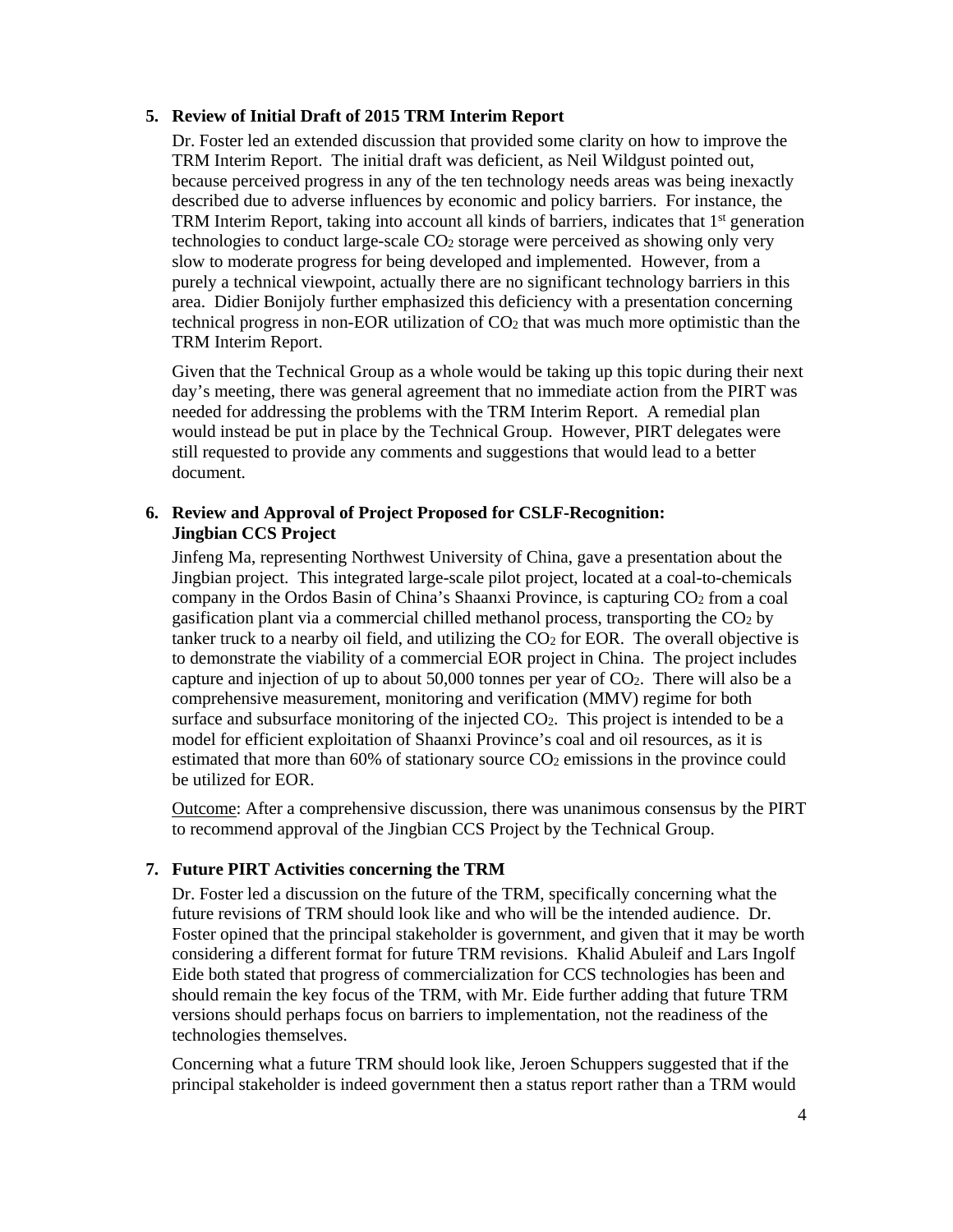### **5. Review of Initial Draft of 2015 TRM Interim Report**

Dr. Foster led an extended discussion that provided some clarity on how to improve the TRM Interim Report. The initial draft was deficient, as Neil Wildgust pointed out, because perceived progress in any of the ten technology needs areas was being inexactly described due to adverse influences by economic and policy barriers. For instance, the TRM Interim Report, taking into account all kinds of barriers, indicates that  $1<sup>st</sup>$  generation technologies to conduct large-scale CO2 storage were perceived as showing only very slow to moderate progress for being developed and implemented. However, from a purely a technical viewpoint, actually there are no significant technology barriers in this area. Didier Bonijoly further emphasized this deficiency with a presentation concerning technical progress in non-EOR utilization of  $CO<sub>2</sub>$  that was much more optimistic than the TRM Interim Report.

Given that the Technical Group as a whole would be taking up this topic during their next day's meeting, there was general agreement that no immediate action from the PIRT was needed for addressing the problems with the TRM Interim Report. A remedial plan would instead be put in place by the Technical Group. However, PIRT delegates were still requested to provide any comments and suggestions that would lead to a better document.

## **6. Review and Approval of Project Proposed for CSLF-Recognition: Jingbian CCS Project**

Jinfeng Ma, representing Northwest University of China, gave a presentation about the Jingbian project. This integrated large-scale pilot project, located at a coal-to-chemicals company in the Ordos Basin of China's Shaanxi Province, is capturing CO<sub>2</sub> from a coal gasification plant via a commercial chilled methanol process, transporting the  $CO<sub>2</sub>$  by tanker truck to a nearby oil field, and utilizing the  $CO<sub>2</sub>$  for EOR. The overall objective is to demonstrate the viability of a commercial EOR project in China. The project includes capture and injection of up to about 50,000 tonnes per year of CO2. There will also be a comprehensive measurement, monitoring and verification (MMV) regime for both surface and subsurface monitoring of the injected CO<sub>2</sub>. This project is intended to be a model for efficient exploitation of Shaanxi Province's coal and oil resources, as it is estimated that more than 60% of stationary source  $CO<sub>2</sub>$  emissions in the province could be utilized for EOR.

Outcome: After a comprehensive discussion, there was unanimous consensus by the PIRT to recommend approval of the Jingbian CCS Project by the Technical Group.

## **7. Future PIRT Activities concerning the TRM**

Dr. Foster led a discussion on the future of the TRM, specifically concerning what the future revisions of TRM should look like and who will be the intended audience. Dr. Foster opined that the principal stakeholder is government, and given that it may be worth considering a different format for future TRM revisions. Khalid Abuleif and Lars Ingolf Eide both stated that progress of commercialization for CCS technologies has been and should remain the key focus of the TRM, with Mr. Eide further adding that future TRM versions should perhaps focus on barriers to implementation, not the readiness of the technologies themselves.

Concerning what a future TRM should look like, Jeroen Schuppers suggested that if the principal stakeholder is indeed government then a status report rather than a TRM would